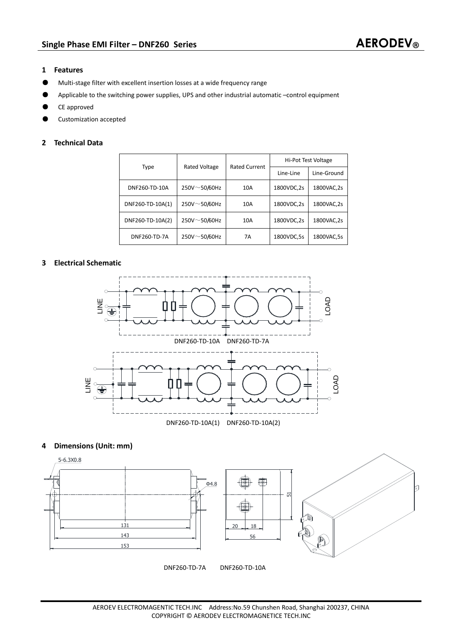### **1 Features**

- ƽ Multi-stage filter with excellent insertion losses at a wide frequency range
- Applicable to the switching power supplies, UPS and other industrial automatic –control equipment
- ƽ CE approved
- ƽ Customization accepted

## **2 Technical Data**

| Type             | <b>Rated Voltage</b> | <b>Rated Current</b> | Hi-Pot Test Voltage |             |
|------------------|----------------------|----------------------|---------------------|-------------|
|                  |                      |                      | Line-Line           | Line-Ground |
| DNF260-TD-10A    | $250V \sim 50/60Hz$  | 10A                  | 1800VDC,2s          | 1800VAC,2s  |
| DNF260-TD-10A(1) | 250V~50/60Hz         | 10A                  | 1800VDC,2s          | 1800VAC,2s  |
| DNF260-TD-10A(2) | $250V - 50/60Hz$     | 10A                  | 1800VDC,2s          | 1800VAC,2s  |
| DNF260-TD-7A     | 250V~50/60Hz         | 7A                   | 1800VDC,5s          | 1800VAC,5s  |

# **3 Electrical Schematic**



## **4 Dimensions (Unit: mm)**